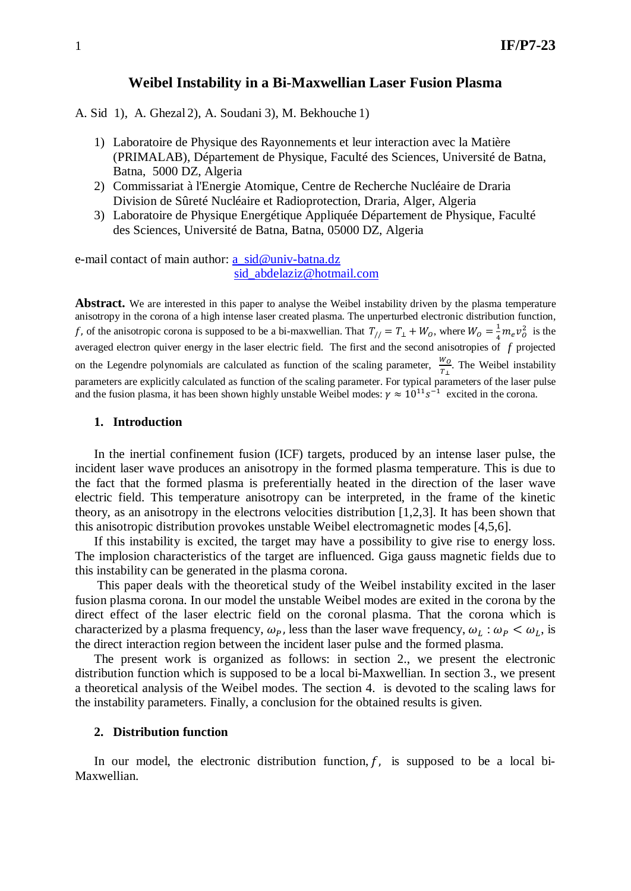## **Weibel Instability in a Bi-Maxwellian Laser Fusion Plasma**

A. Sid 1), A. Ghezal 2), A. Soudani 3), M. Bekhouche 1)

- 1) Laboratoire de Physique des Rayonnements et leur interaction avec la Matière (PRIMALAB), Département de Physique, Faculté des Sciences, Université de Batna, Batna, 5000 DZ, Algeria
- 2) Commissariat à l'Energie Atomique, Centre de Recherche Nucléaire de Draria Division de Sûreté Nucléaire et Radioprotection, Draria, Alger, Algeria
- 3) Laboratoire de Physique Energétique Appliquée Département de Physique, Faculté des Sciences, Université de Batna, Batna, 05000 DZ, Algeria

e-mail contact of main author: [a\\_sid@univ-batna.dz](mailto:a_sid@univ-batna.dz) [sid\\_abdelaziz@hotmail.com](mailto:sid_abdelaziz@hotmail.com)

**Abstract.** We are interested in this paper to analyse the Weibel instability driven by the plasma temperature anisotropy in the corona of a high intense laser created plasma. The unperturbed electronic distribution function, f, of the anisotropic corona is supposed to be a bi-maxwellian. That  $T_{//} = T_{\perp} + W_0$ , where  $W_0 = \frac{1}{4} m_e v_0^2$  is the averaged electron quiver energy in the laser electric field. The first and the second anisotropies of  $\overrightarrow{f}$  projected on the Legendre polynomials are calculated as function of the scaling parameter,  $\frac{w}{r}$  $\frac{1}{T_1}$ . The Weibel instability parameters are explicitly calculated as function of the scaling parameter. For typical parameters of the laser pulse and the fusion plasma, it has been shown highly unstable Weibel modes:  $\gamma \approx 10^{11} s^{-1}$  excited in the corona.

### **1. Introduction**

In the inertial confinement fusion (ICF) targets, produced by an intense laser pulse, the incident laser wave produces an anisotropy in the formed plasma temperature. This is due to the fact that the formed plasma is preferentially heated in the direction of the laser wave electric field. This temperature anisotropy can be interpreted, in the frame of the kinetic theory, as an anisotropy in the electrons velocities distribution [1,2,3]. It has been shown that this anisotropic distribution provokes unstable Weibel electromagnetic modes [4,5,6].

If this instability is excited, the target may have a possibility to give rise to energy loss. The implosion characteristics of the target are influenced. Giga gauss magnetic fields due to this instability can be generated in the plasma corona.

This paper deals with the theoretical study of the Weibel instability excited in the laser fusion plasma corona. In our model the unstable Weibel modes are exited in the corona by the direct effect of the laser electric field on the coronal plasma. That the corona which is characterized by a plasma frequency,  $\omega_p$ , less than the laser wave frequency,  $\omega_L : \omega_P < \omega_L$ , is the direct interaction region between the incident laser pulse and the formed plasma.

The present work is organized as follows: in section 2., we present the electronic distribution function which is supposed to be a local bi-Maxwellian. In section 3., we present a theoretical analysis of the Weibel modes. The section 4. is devoted to the scaling laws for the instability parameters. Finally, a conclusion for the obtained results is given.

#### **2. Distribution function**

In our model, the electronic distribution function,  $f$ , is supposed to be a local bi-Maxwellian.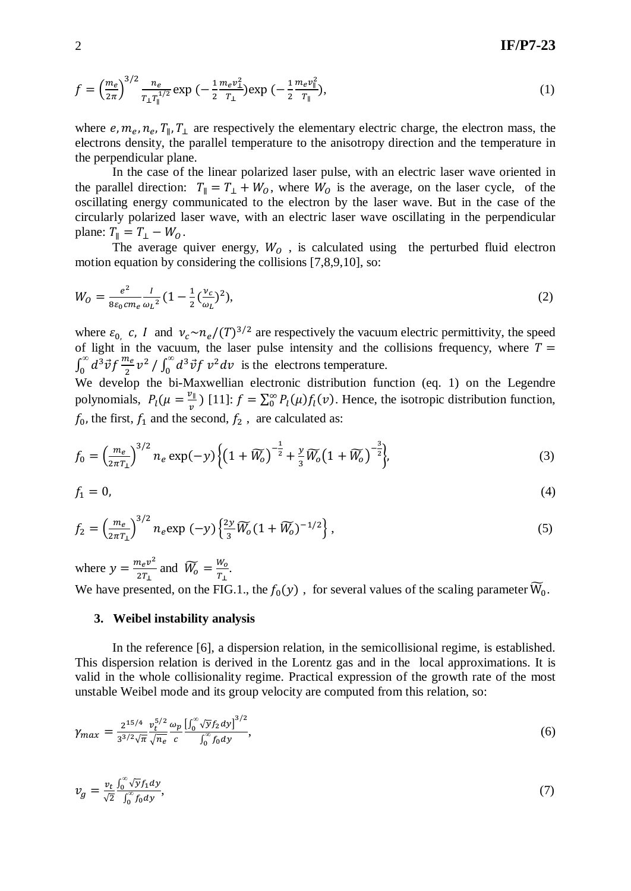$$
f = \left(\frac{m_e}{2\pi}\right)^{3/2} \frac{n_e}{T_\perp T_\parallel^{1/2}} \exp\left(-\frac{1}{2}\frac{m_e v_\perp^2}{T_\perp}\right) \exp\left(-\frac{1}{2}\frac{m_e v_\parallel^2}{T_\parallel}\right),\tag{1}
$$

where  $e, m_e, n_e, T_{\parallel}, T_{\perp}$  are respectively the elementary electric charge, the electron mass, the electrons density, the parallel temperature to the anisotropy direction and the temperature in the perpendicular plane.

In the case of the linear polarized laser pulse, with an electric laser wave oriented in the parallel direction:  $T_{\parallel} = T_{\perp} + W_0$ , where  $W_0$  is the average, on the laser cycle, of the oscillating energy communicated to the electron by the laser wave. But in the case of the circularly polarized laser wave, with an electric laser wave oscillating in the perpendicular plane:  $T_{\parallel} = T_{\perp} - W_{O}$ .

The average quiver energy,  $W_0$ , is calculated using the perturbed fluid electron motion equation by considering the collisions [7,8,9,10], so:

$$
W_0 = \frac{e^2}{8\varepsilon_0 c m_e} \frac{I}{\omega_L^2} (1 - \frac{1}{2} (\frac{v_c}{\omega_L})^2),
$$
 (2)

where  $\varepsilon_0$ , c, I and  $v_c \sim n_e / (T)^{3/2}$  are respectively the vacuum electric permittivity, the speed of light in the vacuum, the laser pulse intensity and the collisions frequency, where  $T =$  $\int_0^\infty d^3\vec{v} f \frac{m_e}{2} v^2$  $\int_{0}^{\infty} d^{3} \vec{v} f \frac{m_{e}}{2} v^{2} / \int_{0}^{\infty} d^{3} \vec{v} f v^{2} dv$  is the electrons temperature.

We develop the bi-Maxwellian electronic distribution function (eq. 1) on the Legendre polynomials,  $P_l(\mu = \frac{v_{\parallel}}{n})$  $\sum_{\nu=0}^{\infty}$  [11]:  $f = \sum_{0}^{\infty} P_l(\mu) f_l(\nu)$ . Hence, the isotropic distribution function,  $f_0$ , the first,  $f_1$  and the second,  $f_2$ , are calculated as:

$$
f_0 = \left(\frac{m_e}{2\pi T_1}\right)^{3/2} n_e \exp(-y) \left\{ \left(1 + \widetilde{W}_0\right)^{-\frac{1}{2}} + \frac{y}{3} \widetilde{W}_0 \left(1 + \widetilde{W}_0\right)^{-\frac{3}{2}} \right\},\tag{3}
$$

$$
f_1 = 0,\tag{4}
$$

$$
f_2 = \left(\frac{m_e}{2\pi T_1}\right)^{3/2} n_e \exp\left(-y\right) \left\{\frac{2y}{3} \widetilde{W}_0 \left(1 + \widetilde{W}_0\right)^{-1/2}\right\},\tag{5}
$$

where  $y = \frac{m_e v^2}{2T_1}$  $\frac{n_e v^2}{2T_{\perp}}$  and  $\widetilde{W}_o = \frac{W_o}{T_{\perp}}$  $\frac{W_0}{T_{\perp}}$ . We have presented, on the FIG.1., the  $f_0(y)$ , for several values of the scaling parameter  $\widetilde{W}_0$ .

#### **3. Weibel instability analysis**

In the reference [6], a dispersion relation, in the semicollisional regime, is established. This dispersion relation is derived in the Lorentz gas and in the local approximations. It is valid in the whole collisionality regime. Practical expression of the growth rate of the most unstable Weibel mode and its group velocity are computed from this relation, so:

$$
\gamma_{max} = \frac{2^{15/4}}{3^{3/2}\sqrt{\pi}} \frac{v_t^{5/2}}{\sqrt{n_e}} \frac{\omega_p \left[ \int_0^\infty \sqrt{y} f_2 dy \right]^{3/2}}{\int_0^\infty f_0 dy},\tag{6}
$$

$$
v_g = \frac{v_t}{\sqrt{2}} \frac{\int_0^\infty \sqrt{y} f_1 dy}{\int_0^\infty f_0 dy},\tag{7}
$$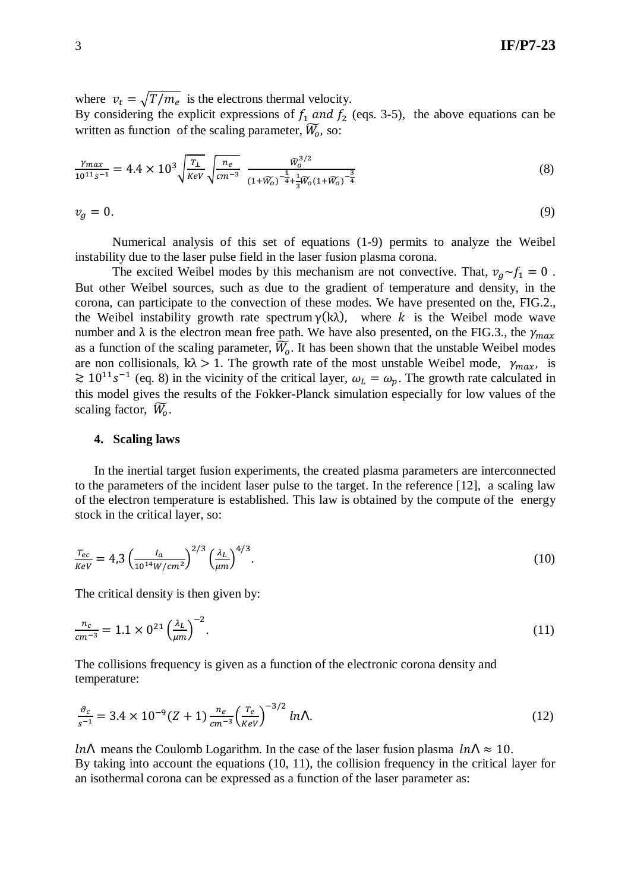where  $v_t = \sqrt{T/m_e}$  is the electrons thermal velocity. By considering the explicit expressions of  $f_1$  and  $f_2$  (eqs. 3-5), the above equations can be written as function of the scaling parameter,  $\widetilde{W}_0$ , so:

$$
\frac{\gamma_{max}}{10^{11}s^{-1}} = 4.4 \times 10^3 \sqrt{\frac{T_{\perp}}{keV}} \sqrt{\frac{n_e}{cm^{-3}}} \frac{\tilde{W}_0^{3/2}}{(1+\tilde{W}_0)^{-\frac{1}{4}} + \frac{1}{3}\tilde{W}_0(1+\tilde{W}_0)^{-\frac{3}{4}}}
$$
(8)

$$
v_g = 0.\t\t(9)
$$

Numerical analysis of this set of equations (1-9) permits to analyze the Weibel instability due to the laser pulse field in the laser fusion plasma corona.

The excited Weibel modes by this mechanism are not convective. That,  $v_a \sim f_1 = 0$ . But other Weibel sources, such as due to the gradient of temperature and density, in the corona, can participate to the convection of these modes. We have presented on the, FIG.2., the Weibel instability growth rate spectrum  $\gamma(k\lambda)$ , where k is the Weibel mode wave number and  $\lambda$  is the electron mean free path. We have also presented, on the FIG.3., the  $\gamma_{max}$ as a function of the scaling parameter,  $\widetilde{W}_o$ . It has been shown that the unstable Weibel modes are non collisionals,  $k\lambda > 1$ . The growth rate of the most unstable Weibel mode,  $\gamma_{max}$ , is  $\geq 10^{11} s^{-1}$  (eq. 8) in the vicinity of the critical layer,  $\omega_L = \omega_p$ . The growth rate calculated in this model gives the results of the Fokker-Planck simulation especially for low values of the scaling factor,  $\widetilde{W}_0$ .

#### **4. Scaling laws**

In the inertial target fusion experiments, the created plasma parameters are interconnected to the parameters of the incident laser pulse to the target. In the reference [12], a scaling law of the electron temperature is established. This law is obtained by the compute of the energy stock in the critical layer, so:

$$
\frac{T_{ec}}{Rev} = 4.3 \left(\frac{I_a}{10^{14} W/cm^2}\right)^{2/3} \left(\frac{\lambda_L}{\mu m}\right)^{4/3}.
$$
\n(10)

The critical density is then given by:

$$
\frac{n_c}{cm^{-3}} = 1.1 \times 0^{21} \left(\frac{\lambda_L}{\mu m}\right)^{-2}.
$$
\n(11)

The collisions frequency is given as a function of the electronic corona density and temperature:

$$
\frac{\vartheta_c}{s^{-1}} = 3.4 \times 10^{-9} (Z+1) \frac{n_e}{cm^{-3}} \left(\frac{T_e}{KeV}\right)^{-3/2} ln\Lambda.
$$
 (12)

*LnL* means the Coulomb Logarithm. In the case of the laser fusion plasma  $ln L \approx 10$ . By taking into account the equations (10, 11), the collision frequency in the critical layer for an isothermal corona can be expressed as a function of the laser parameter as: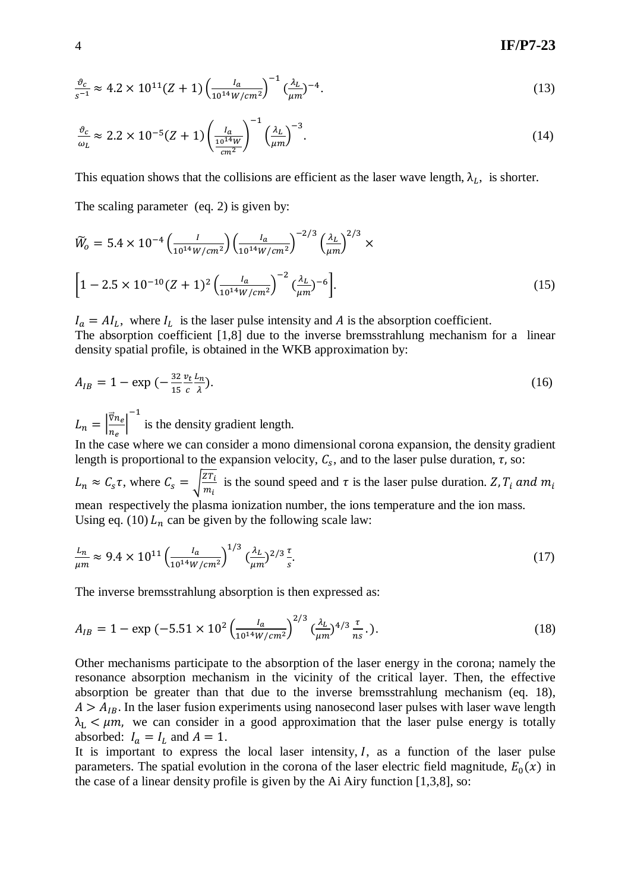# 4 **IF/P7-23**

$$
\frac{\vartheta_c}{s^{-1}} \approx 4.2 \times 10^{11} (Z+1) \left( \frac{I_a}{10^{14} W/cm^2} \right)^{-1} \left( \frac{\lambda_L}{\mu m} \right)^{-4} . \tag{13}
$$

$$
\frac{\vartheta_c}{\omega_L} \approx 2.2 \times 10^{-5} (Z+1) \left( \frac{I_a}{\frac{10^{14} W}{cm^2}} \right)^{-1} \left( \frac{\lambda_L}{\mu m} \right)^{-3} . \tag{14}
$$

This equation shows that the collisions are efficient as the laser wave length,  $\lambda_L$ , is shorter.

The scaling parameter (eq. 2) is given by:

$$
\widetilde{W}_o = 5.4 \times 10^{-4} \left( \frac{I}{10^{14} W/cm^2} \right) \left( \frac{I_a}{10^{14} W/cm^2} \right)^{-2/3} \left( \frac{\lambda_L}{\mu m} \right)^{2/3} \times
$$
\n
$$
\left[ 1 - 2.5 \times 10^{-10} (Z+1)^2 \left( \frac{I_a}{10^{14} W/cm^2} \right)^{-2} \left( \frac{\lambda_L}{\mu m} \right)^{-6} \right].
$$
\n(15)

 $I_a = A I_L$ , where  $I_L$  is the laser pulse intensity and A is the absorption coefficient. The absorption coefficient [1,8] due to the inverse bremsstrahlung mechanism for a linear density spatial profile, is obtained in the WKB approximation by:

$$
A_{IB} = 1 - \exp\left(-\frac{32}{15}\frac{v_t L_n}{\lambda}\right). \tag{16}
$$

 $L_n = \left| \frac{\nabla n}{n_n} \right|$  $\frac{1}{n_e}$  $\frac{-1}{\pi}$  is the density gradient length.

In the case where we can consider a mono dimensional corona expansion, the density gradient length is proportional to the expansion velocity,  $C_s$ , and to the laser pulse duration,  $\tau$ , so:  $L_n \approx C_s \tau$ , where  $C_s = \sqrt{\frac{Z}{n}}$  $\frac{z_1 i}{m_i}$  is the sound speed and  $\tau$  is the laser pulse duration.  $Z, T_i$ mean respectively the plasma ionization number, the ions temperature and the ion mass. Using eq. (10)  $L_n$  can be given by the following scale law:

$$
\frac{L_n}{\mu m} \approx 9.4 \times 10^{11} \left( \frac{I_a}{10^{14} W/cm^2} \right)^{1/3} \left( \frac{\lambda_L}{\mu m} \right)^{2/3} \frac{\tau}{s}.
$$
\n(17)

The inverse bremsstrahlung absorption is then expressed as:

$$
A_{IB} = 1 - \exp(-5.51 \times 10^2 \left(\frac{l_a}{10^{14} W/cm^2}\right)^{2/3} \left(\frac{\lambda_L}{\mu m}\right)^{4/3} \frac{\tau}{n_s}.)
$$
 (18)

Other mechanisms participate to the absorption of the laser energy in the corona; namely the resonance absorption mechanism in the vicinity of the critical layer. Then, the effective absorption be greater than that due to the inverse bremsstrahlung mechanism (eq. 18),  $A > A_{IB}$ . In the laser fusion experiments using nanosecond laser pulses with laser wave length  $\lambda_L < \mu m$ , we can consider in a good approximation that the laser pulse energy is totally absorbed:  $I_a = I_L$  and  $A = 1$ .

It is important to express the local laser intensity,  $I$ , as a function of the laser pulse parameters. The spatial evolution in the corona of the laser electric field magnitude,  $E_0(x)$  in the case of a linear density profile is given by the Ai Airy function [1,3,8], so: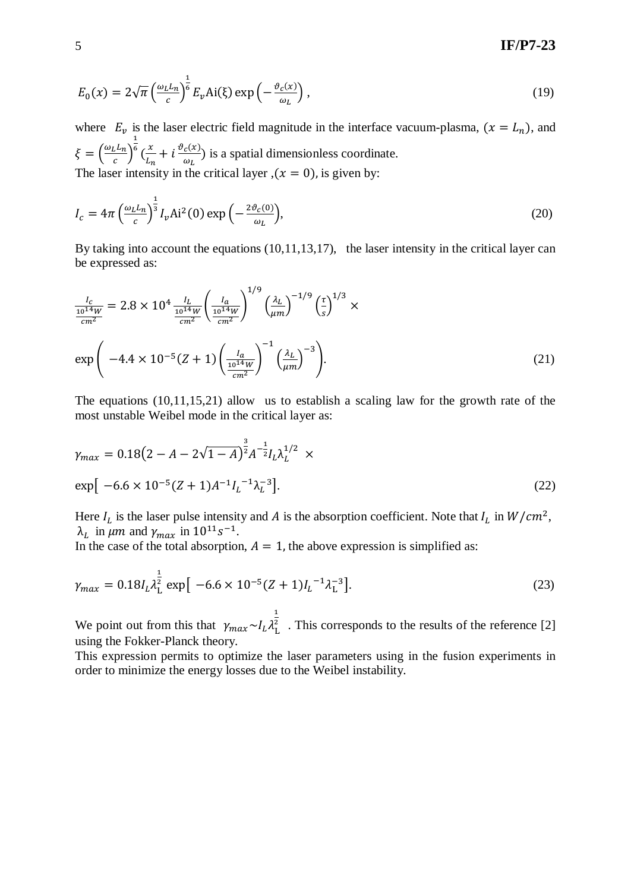# 5 **IF/P7-23**

$$
E_0(x) = 2\sqrt{\pi} \left(\frac{\omega_L L_n}{c}\right)^{\frac{1}{6}} E_{\nu} \text{Ai}(\xi) \exp\left(-\frac{\vartheta_c(x)}{\omega_L}\right),\tag{19}
$$

where  $E_v$  is the laser electric field magnitude in the interface vacuum-plasma,  $(x = L_n)$ , and  $\xi=\left(\frac{\omega}{\omega}\right)$  $\frac{1}{c}$  $\overline{1}$  $\frac{x}{L}$  $\frac{x}{L_n} + i \frac{\vartheta_c(x)}{\omega_L}$  $\frac{c^{(\lambda)}}{\omega_L}$ ) is a spatial dimensionless coordinate. The laser intensity in the critical layer ,  $(x = 0)$ , is given by:

$$
I_c = 4\pi \left(\frac{\omega_L L_n}{c}\right)^{\frac{1}{3}} I_v \text{Ai}^2(0) \exp\left(-\frac{2\vartheta_c(0)}{\omega_L}\right),\tag{20}
$$

By taking into account the equations (10,11,13,17), the laser intensity in the critical layer can be expressed as:

$$
\frac{I_c}{\frac{10^{14}W}{cm^2}} = 2.8 \times 10^4 \frac{I_L}{\frac{10^{14}W}{cm^2}} \left(\frac{I_a}{\frac{10^{14}W}{cm^2}}\right)^{1/9} \left(\frac{\lambda_L}{\mu m}\right)^{-1/9} \left(\frac{\tau}{s}\right)^{1/3} \times
$$
  
\n
$$
\exp\left(-4.4 \times 10^{-5} (Z+1) \left(\frac{I_a}{\frac{10^{14}W}{cm^2}}\right)^{-1} \left(\frac{\lambda_L}{\mu m}\right)^{-3}\right).
$$
\n(21)

The equations (10,11,15,21) allow us to establish a scaling law for the growth rate of the most unstable Weibel mode in the critical layer as:

$$
\gamma_{max} = 0.18(2 - A - 2\sqrt{1 - A})^{\frac{3}{2}} A^{-\frac{1}{2}} I_L \lambda_L^{1/2} \times
$$
  
exp[-6.6 \times 10^{-5} (Z + 1) A^{-1} I\_L^{-1} \lambda\_L^{-3}]. (22)

Here  $I_L$  is the laser pulse intensity and A is the absorption coefficient. Note that  $I_L$  in  $W/cm^2$ ,  $λ_L$  in  $μm$  and  $γ_{max}$  in  $10^{11} s^{-1}$ .

In the case of the total absorption,  $A = 1$ , the above expression is simplified as:

$$
\gamma_{max} = 0.18 I_L \lambda_L^{\frac{1}{2}} \exp\left[-6.6 \times 10^{-5} (Z+1) I_L^{-1} \lambda_L^{-3}\right].
$$
\n(23)

We point out from this that  $\gamma_{max} \sim I$  $\overline{1}$  $\frac{2}{1}$ . This corresponds to the results of the reference [2] using the Fokker-Planck theory.

This expression permits to optimize the laser parameters using in the fusion experiments in order to minimize the energy losses due to the Weibel instability.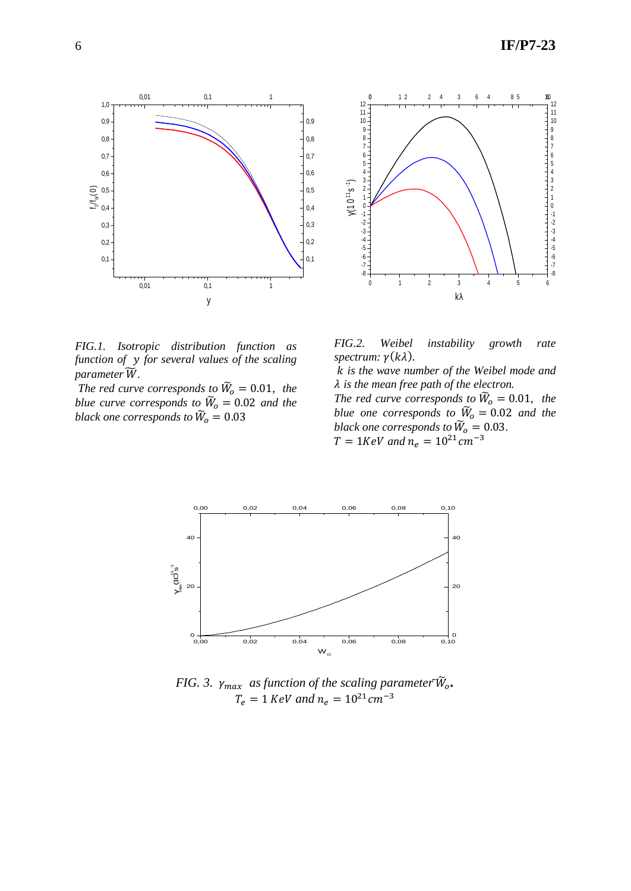



*FIG.1. Isotropic distribution function as function of for several values of the scaling parameter*  $\widetilde{W}$ .

*The red curve corresponds to*  $\widetilde{W}_o = 0.01$ *, the blue curve corresponds to*  $\widetilde{W}_0 = 0.02$  *and the black one corresponds to*  $\widetilde{W}_o = 0.03$ 

*FIG.2. Weibel instability growth rate*   $spectrum: \gamma(k\lambda)$ .

 *is the wave number of the Weibel mode and is the mean free path of the electron.* 

*The red curve corresponds to*  $\widetilde{W}_o = 0.01$ , the *blue one corresponds to*  $\widetilde{W}_0 = 0.02$  *and the black one corresponds to*  $\widetilde{W}_o = 0.03$ .  $T = 1 KeV$  and  $n_e = 10^2$ 



*FIG. 3.*  $\gamma_{max}$  *as function of the scaling parameter*  $\widetilde{W}_o$ .  $T_e = 1$  *KeV and*  $n_e = 10^{21}$  cm<sup>-3</sup>